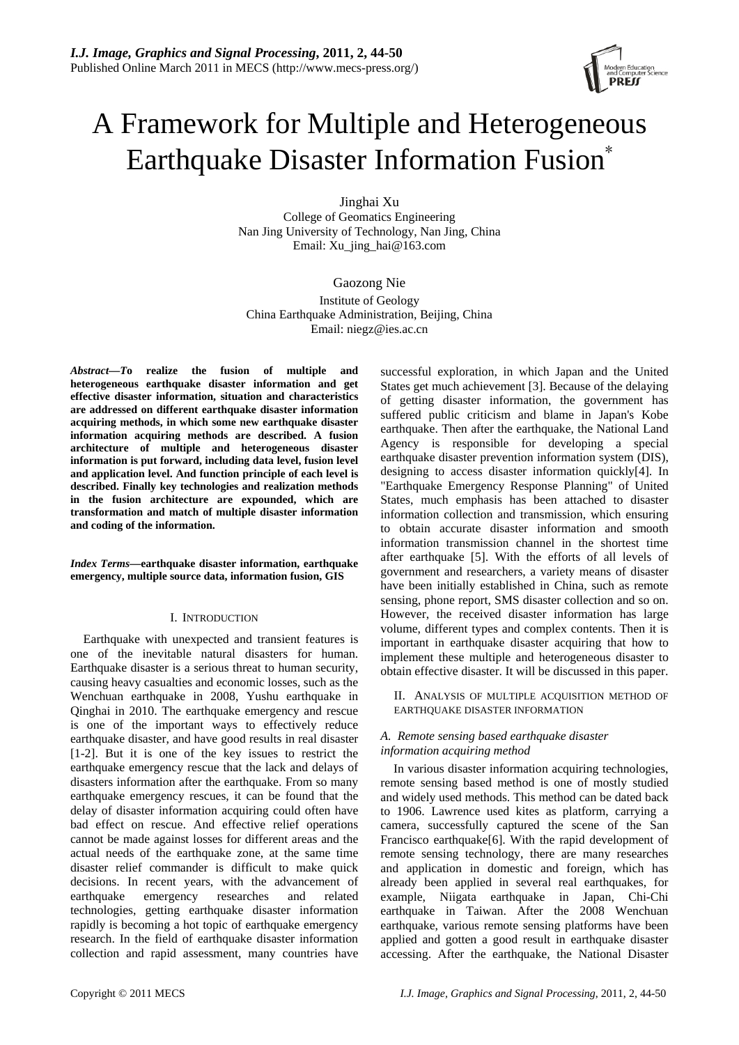# A Framework for Multiple and Heterogeneous Earthquake Disaster Information Fusion\*

Jinghai Xu College of Geomatics Engineering Nan Jing University of Technology, Nan Jing, China Email: Xu\_jing\_hai@163.com

Gaozong Nie Institute of Geology China Earthquake Administration, Beijing, China Email: niegz@ies.ac.cn

*Abstract—T***o realize the fusion of multiple and heterogeneous earthquake disaster information and get effective disaster information, situation and characteristics are addressed on different earthquake disaster information acquiring methods, in which some new earthquake disaster information acquiring methods are described. A fusion architecture of multiple and heterogeneous disaster information is put forward, including data level, fusion level and application level. And function principle of each level is described. Finally key technologies and realization methods in the fusion architecture are expounded, which are transformation and match of multiple disaster information and coding of the information.** 

*Index Terms***—earthquake disaster information, earthquake emergency, multiple source data, information fusion, GIS** 

# I. INTRODUCTION

Earthquake with unexpected and transient features is one of the inevitable natural disasters for human. Earthquake disaster is a serious threat to human security, causing heavy casualties and economic losses, such as the Wenchuan earthquake in 2008, Yushu earthquake in Qinghai in 2010. The earthquake emergency and rescue is one of the important ways to effectively reduce earthquake disaster, and have good results in real disaster [1-2]. But it is one of the key issues to restrict the earthquake emergency rescue that the lack and delays of disasters information after the earthquake. From so many earthquake emergency rescues, it can be found that the delay of disaster information acquiring could often have bad effect on rescue. And effective relief operations cannot be made against losses for different areas and the actual needs of the earthquake zone, at the same time disaster relief commander is difficult to make quick decisions. In recent years, with the advancement of earthquake emergency researches and related technologies, getting earthquake disaster information rapidly is becoming a hot topic of earthquake emergency research. In the field of earthquake disaster information collection and rapid assessment, many countries have

successful exploration, in which Japan and the United States get much achievement [3]. Because of the delaying of getting disaster information, the government has suffered public criticism and blame in Japan's Kobe earthquake. Then after the earthquake, the National Land Agency is responsible for developing a special earthquake disaster prevention information system (DIS), designing to access disaster information quickly[4]. In "Earthquake Emergency Response Planning" of United States, much emphasis has been attached to disaster information collection and transmission, which ensuring to obtain accurate disaster information and smooth information transmission channel in the shortest time after earthquake [5]. With the efforts of all levels of government and researchers, a variety means of disaster have been initially established in China, such as remote sensing, phone report, SMS disaster collection and so on. However, the received disaster information has large volume, different types and complex contents. Then it is important in earthquake disaster acquiring that how to implement these multiple and heterogeneous disaster to obtain effective disaster. It will be discussed in this paper.

II. ANALYSIS OF MULTIPLE ACQUISITION METHOD OF EARTHQUAKE DISASTER INFORMATION

# *A. Remote sensing based earthquake disaster information acquiring method*

In various disaster information acquiring technologies, remote sensing based method is one of mostly studied and widely used methods. This method can be dated back to 1906. Lawrence used kites as platform, carrying a camera, successfully captured the scene of the San Francisco earthquake[6]. With the rapid development of remote sensing technology, there are many researches and application in domestic and foreign, which has already been applied in several real earthquakes, for example, Niigata earthquake in Japan, Chi-Chi earthquake in Taiwan. After the 2008 Wenchuan earthquake, various remote sensing platforms have been applied and gotten a good result in earthquake disaster accessing. After the earthquake, the National Disaster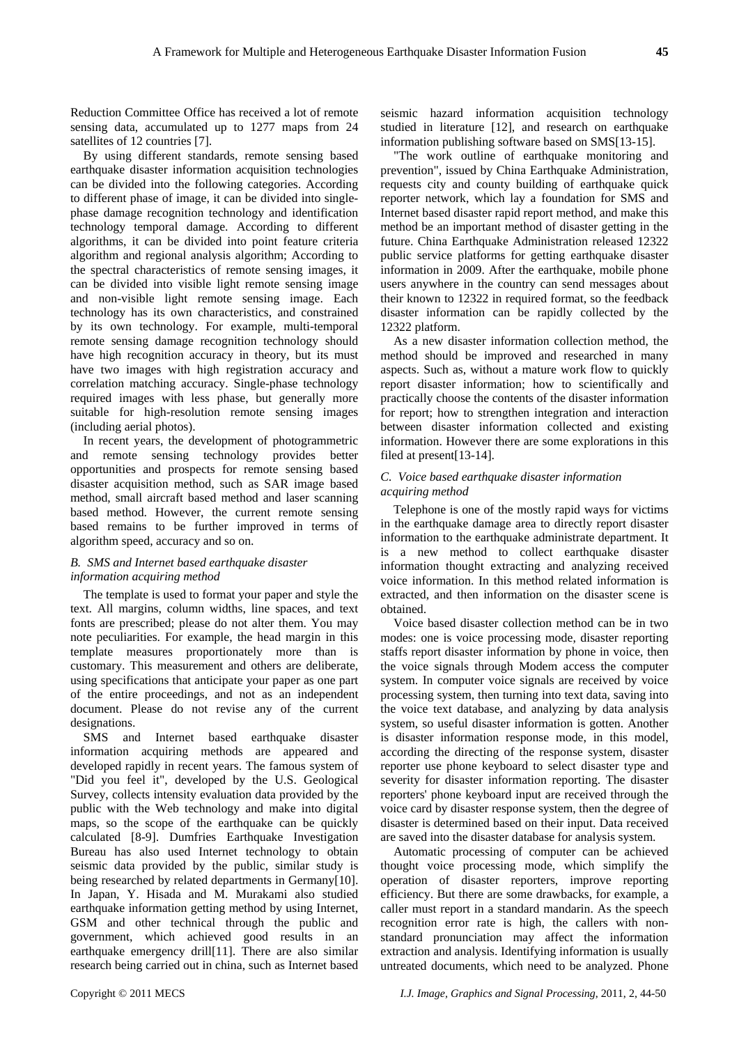Reduction Committee Office has received a lot of remote sensing data, accumulated up to 1277 maps from 24 satellites of 12 countries [7].

By using different standards, remote sensing based earthquake disaster information acquisition technologies can be divided into the following categories. According to different phase of image, it can be divided into singlephase damage recognition technology and identification technology temporal damage. According to different algorithms, it can be divided into point feature criteria algorithm and regional analysis algorithm; According to the spectral characteristics of remote sensing images, it can be divided into visible light remote sensing image and non-visible light remote sensing image. Each technology has its own characteristics, and constrained by its own technology. For example, multi-temporal remote sensing damage recognition technology should have high recognition accuracy in theory, but its must have two images with high registration accuracy and correlation matching accuracy. Single-phase technology required images with less phase, but generally more suitable for high-resolution remote sensing images (including aerial photos).

In recent years, the development of photogrammetric and remote sensing technology provides better opportunities and prospects for remote sensing based disaster acquisition method, such as SAR image based method, small aircraft based method and laser scanning based method. However, the current remote sensing based remains to be further improved in terms of algorithm speed, accuracy and so on.

# *B. SMS and Internet based earthquake disaster information acquiring method*

The template is used to format your paper and style the text. All margins, column widths, line spaces, and text fonts are prescribed; please do not alter them. You may note peculiarities. For example, the head margin in this template measures proportionately more than is customary. This measurement and others are deliberate, using specifications that anticipate your paper as one part of the entire proceedings, and not as an independent document. Please do not revise any of the current designations.

SMS and Internet based earthquake disaster information acquiring methods are appeared and developed rapidly in recent years. The famous system of "Did you feel it", developed by the U.S. Geological Survey, collects intensity evaluation data provided by the public with the Web technology and make into digital maps, so the scope of the earthquake can be quickly calculated [8-9]. Dumfries Earthquake Investigation Bureau has also used Internet technology to obtain seismic data provided by the public, similar study is being researched by related departments in Germany[10]. In Japan, Y. Hisada and M. Murakami also studied earthquake information getting method by using Internet, GSM and other technical through the public and government, which achieved good results in an earthquake emergency drill[11]. There are also similar research being carried out in china, such as Internet based

seismic hazard information acquisition technology studied in literature [12], and research on earthquake information publishing software based on SMS[13-15].

"The work outline of earthquake monitoring and prevention", issued by China Earthquake Administration, requests city and county building of earthquake quick reporter network, which lay a foundation for SMS and Internet based disaster rapid report method, and make this method be an important method of disaster getting in the future. China Earthquake Administration released 12322 public service platforms for getting earthquake disaster information in 2009. After the earthquake, mobile phone users anywhere in the country can send messages about their known to 12322 in required format, so the feedback disaster information can be rapidly collected by the 12322 platform.

As a new disaster information collection method, the method should be improved and researched in many aspects. Such as, without a mature work flow to quickly report disaster information; how to scientifically and practically choose the contents of the disaster information for report; how to strengthen integration and interaction between disaster information collected and existing information. However there are some explorations in this filed at present[13-14].

# *C. Voice based earthquake disaster information acquiring method*

Telephone is one of the mostly rapid ways for victims in the earthquake damage area to directly report disaster information to the earthquake administrate department. It is a new method to collect earthquake disaster information thought extracting and analyzing received voice information. In this method related information is extracted, and then information on the disaster scene is obtained.

Voice based disaster collection method can be in two modes: one is voice processing mode, disaster reporting staffs report disaster information by phone in voice, then the voice signals through Modem access the computer system. In computer voice signals are received by voice processing system, then turning into text data, saving into the voice text database, and analyzing by data analysis system, so useful disaster information is gotten. Another is disaster information response mode, in this model, according the directing of the response system, disaster reporter use phone keyboard to select disaster type and severity for disaster information reporting. The disaster reporters' phone keyboard input are received through the voice card by disaster response system, then the degree of disaster is determined based on their input. Data received are saved into the disaster database for analysis system.

Automatic processing of computer can be achieved thought voice processing mode, which simplify the operation of disaster reporters, improve reporting efficiency. But there are some drawbacks, for example, a caller must report in a standard mandarin. As the speech recognition error rate is high, the callers with nonstandard pronunciation may affect the information extraction and analysis. Identifying information is usually untreated documents, which need to be analyzed. Phone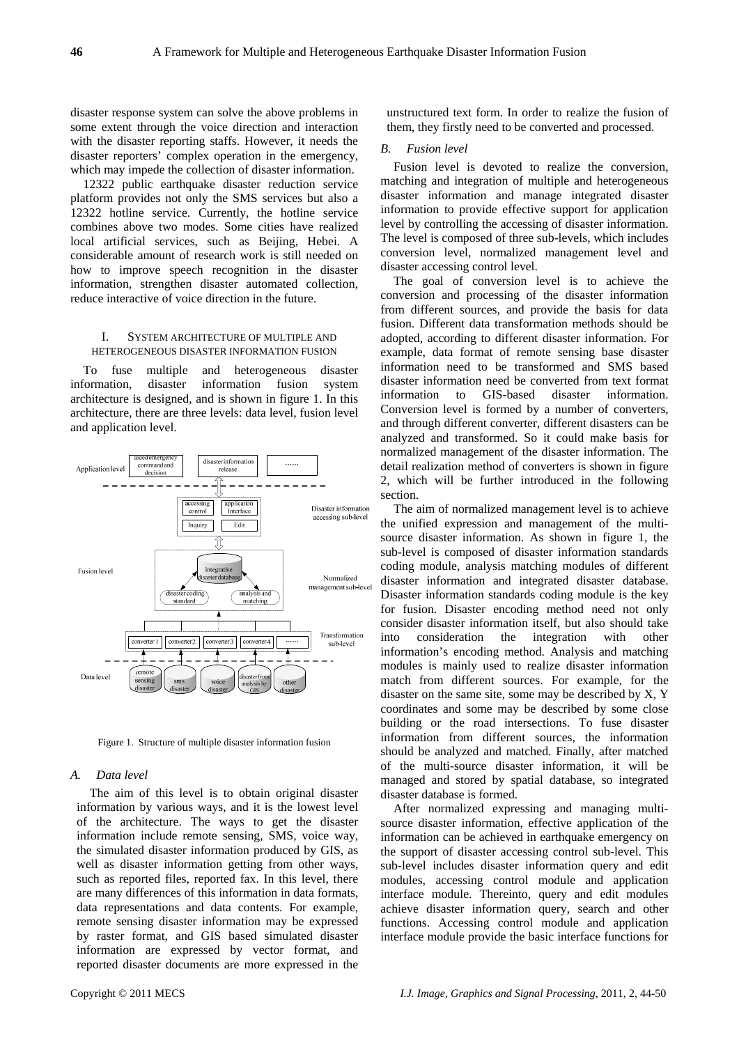disaster response system can solve the above problems in some extent through the voice direction and interaction with the disaster reporting staffs. However, it needs the disaster reporters' complex operation in the emergency, which may impede the collection of disaster information.

12322 public earthquake disaster reduction service platform provides not only the SMS services but also a 12322 hotline service. Currently, the hotline service combines above two modes. Some cities have realized local artificial services, such as Beijing, Hebei. A considerable amount of research work is still needed on how to improve speech recognition in the disaster information, strengthen disaster automated collection, reduce interactive of voice direction in the future.

# I. SYSTEM ARCHITECTURE OF MULTIPLE AND HETEROGENEOUS DISASTER INFORMATION FUSION

To fuse multiple and heterogeneous disaster information, disaster information fusion system architecture is designed, and is shown in figure 1. In this architecture, there are three levels: data level, fusion level and application level.



Figure 1. Structure of multiple disaster information fusion

#### *A. Data level*

The aim of this level is to obtain original disaster information by various ways, and it is the lowest level of the architecture. The ways to get the disaster information include remote sensing, SMS, voice way, the simulated disaster information produced by GIS, as well as disaster information getting from other ways, such as reported files, reported fax. In this level, there are many differences of this information in data formats, data representations and data contents. For example, remote sensing disaster information may be expressed by raster format, and GIS based simulated disaster information are expressed by vector format, and reported disaster documents are more expressed in the

unstructured text form. In order to realize the fusion of them, they firstly need to be converted and processed.

### *B. Fusion level*

Fusion level is devoted to realize the conversion, matching and integration of multiple and heterogeneous disaster information and manage integrated disaster information to provide effective support for application level by controlling the accessing of disaster information. The level is composed of three sub-levels, which includes conversion level, normalized management level and disaster accessing control level.

The goal of conversion level is to achieve the conversion and processing of the disaster information from different sources, and provide the basis for data fusion. Different data transformation methods should be adopted, according to different disaster information. For example, data format of remote sensing base disaster information need to be transformed and SMS based disaster information need be converted from text format information to GIS-based disaster information. Conversion level is formed by a number of converters, and through different converter, different disasters can be analyzed and transformed. So it could make basis for normalized management of the disaster information. The detail realization method of converters is shown in figure 2, which will be further introduced in the following section.

The aim of normalized management level is to achieve the unified expression and management of the multisource disaster information. As shown in figure 1, the sub-level is composed of disaster information standards coding module, analysis matching modules of different disaster information and integrated disaster database. Disaster information standards coding module is the key for fusion. Disaster encoding method need not only consider disaster information itself, but also should take into consideration the integration with other information's encoding method. Analysis and matching modules is mainly used to realize disaster information match from different sources. For example, for the disaster on the same site, some may be described by X, Y coordinates and some may be described by some close building or the road intersections. To fuse disaster information from different sources, the information should be analyzed and matched. Finally, after matched of the multi-source disaster information, it will be managed and stored by spatial database, so integrated disaster database is formed.

After normalized expressing and managing multisource disaster information, effective application of the information can be achieved in earthquake emergency on the support of disaster accessing control sub-level. This sub-level includes disaster information query and edit modules, accessing control module and application interface module. Thereinto, query and edit modules achieve disaster information query, search and other functions. Accessing control module and application interface module provide the basic interface functions for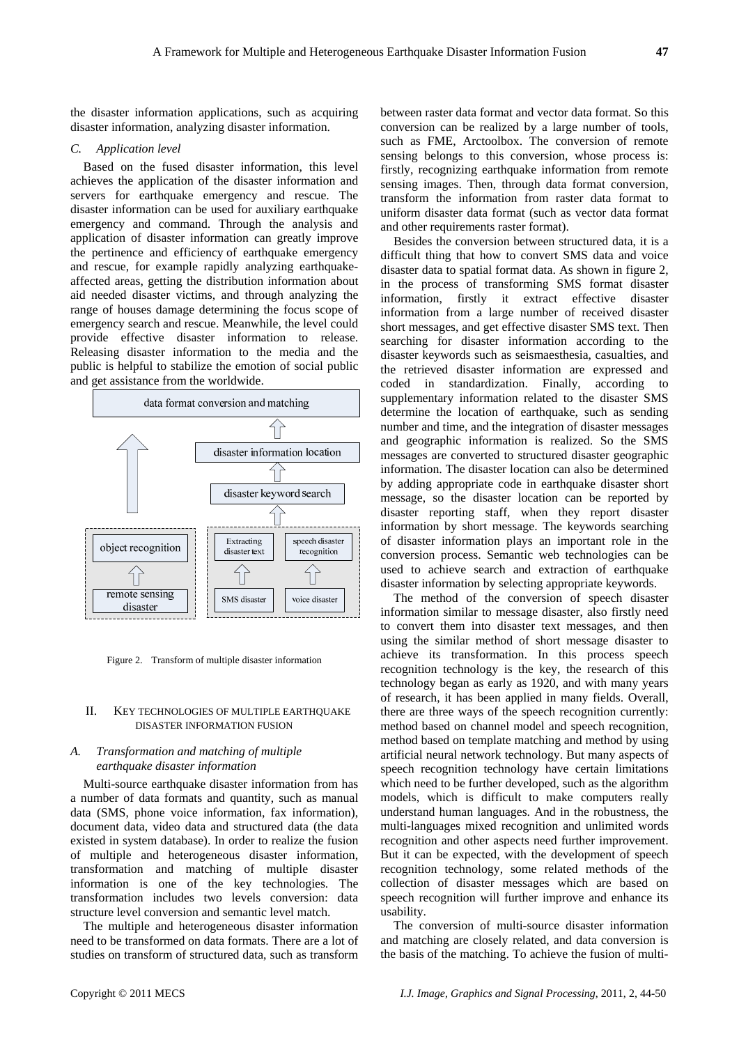the disaster information applications, such as acquiring disaster information, analyzing disaster information.

#### *C. Application level*

Based on the fused disaster information, this level achieves the application of the disaster information and servers for earthquake emergency and rescue. The disaster information can be used for auxiliary earthquake emergency and command. Through the analysis and application of disaster information can greatly improve the pertinence and efficiency of earthquake emergency and rescue, for example rapidly analyzing earthquakeaffected areas, getting the distribution information about aid needed disaster victims, and through analyzing the range of houses damage determining the focus scope of emergency search and rescue. Meanwhile, the level could provide effective disaster information to release. Releasing disaster information to the media and the public is helpful to stabilize the emotion of social public and get assistance from the worldwide.



Figure 2. Transform of multiple disaster information

## II. KEY TECHNOLOGIES OF MULTIPLE EARTHQUAKE DISASTER INFORMATION FUSION

# *A. Transformation and matching of multiple earthquake disaster information*

Multi-source earthquake disaster information from has a number of data formats and quantity, such as manual data (SMS, phone voice information, fax information), document data, video data and structured data (the data existed in system database). In order to realize the fusion of multiple and heterogeneous disaster information, transformation and matching of multiple disaster information is one of the key technologies. The transformation includes two levels conversion: data structure level conversion and semantic level match.

The multiple and heterogeneous disaster information need to be transformed on data formats. There are a lot of studies on transform of structured data, such as transform

between raster data format and vector data format. So this conversion can be realized by a large number of tools, such as FME, Arctoolbox. The conversion of remote sensing belongs to this conversion, whose process is: firstly, recognizing earthquake information from remote sensing images. Then, through data format conversion, transform the information from raster data format to uniform disaster data format (such as vector data format and other requirements raster format).

Besides the conversion between structured data, it is a difficult thing that how to convert SMS data and voice disaster data to spatial format data. As shown in figure 2, in the process of transforming SMS format disaster information, firstly it extract effective disaster information from a large number of received disaster short messages, and get effective disaster SMS text. Then searching for disaster information according to the disaster keywords such as seismaesthesia, casualties, and the retrieved disaster information are expressed and coded in standardization. Finally, according to supplementary information related to the disaster SMS determine the location of earthquake, such as sending number and time, and the integration of disaster messages and geographic information is realized. So the SMS messages are converted to structured disaster geographic information. The disaster location can also be determined by adding appropriate code in earthquake disaster short message, so the disaster location can be reported by disaster reporting staff, when they report disaster information by short message. The keywords searching of disaster information plays an important role in the conversion process. Semantic web technologies can be used to achieve search and extraction of earthquake disaster information by selecting appropriate keywords.

The method of the conversion of speech disaster information similar to message disaster, also firstly need to convert them into disaster text messages, and then using the similar method of short message disaster to achieve its transformation. In this process speech recognition technology is the key, the research of this technology began as early as 1920, and with many years of research, it has been applied in many fields. Overall, there are three ways of the speech recognition currently: method based on channel model and speech recognition, method based on template matching and method by using artificial neural network technology. But many aspects of speech recognition technology have certain limitations which need to be further developed, such as the algorithm models, which is difficult to make computers really understand human languages. And in the robustness, the multi-languages mixed recognition and unlimited words recognition and other aspects need further improvement. But it can be expected, with the development of speech recognition technology, some related methods of the collection of disaster messages which are based on speech recognition will further improve and enhance its usability.

The conversion of multi-source disaster information and matching are closely related, and data conversion is the basis of the matching. To achieve the fusion of multi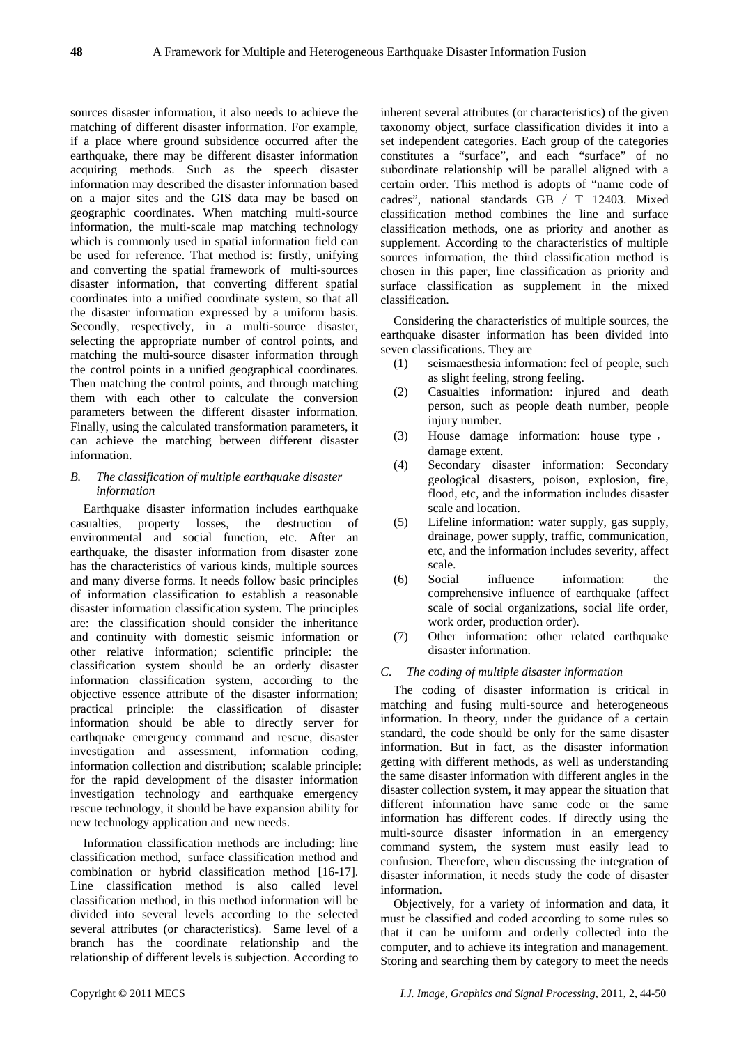sources disaster information, it also needs to achieve the matching of different disaster information. For example, if a place where ground subsidence occurred after the earthquake, there may be different disaster information acquiring methods. Such as the speech disaster information may described the disaster information based on a major sites and the GIS data may be based on geographic coordinates. When matching multi-source information, the multi-scale map matching technology which is commonly used in spatial information field can be used for reference. That method is: firstly, unifying and converting the spatial framework of multi-sources disaster information, that converting different spatial coordinates into a unified coordinate system, so that all the disaster information expressed by a uniform basis. Secondly, respectively, in a multi-source disaster, selecting the appropriate number of control points, and matching the multi-source disaster information through the control points in a unified geographical coordinates. Then matching the control points, and through matching them with each other to calculate the conversion parameters between the different disaster information. Finally, using the calculated transformation parameters, it can achieve the matching between different disaster information.

# *B. The classification of multiple earthquake disaster information*

Earthquake disaster information includes earthquake casualties, property losses, the destruction of environmental and social function, etc. After an earthquake, the disaster information from disaster zone has the characteristics of various kinds, multiple sources and many diverse forms. It needs follow basic principles of information classification to establish a reasonable disaster information classification system. The principles are: the classification should consider the inheritance and continuity with domestic seismic information or other relative information; scientific principle: the classification system should be an orderly disaster information classification system, according to the objective essence attribute of the disaster information; practical principle: the classification of disaster information should be able to directly server for earthquake emergency command and rescue, disaster investigation and assessment, information coding, information collection and distribution; scalable principle: for the rapid development of the disaster information investigation technology and earthquake emergency rescue technology, it should be have expansion ability for new technology application and new needs.

Information classification methods are including: line classification method, surface classification method and combination or hybrid classification method [16-17]. Line classification method is also called level classification method, in this method information will be divided into several levels according to the selected several attributes (or characteristics). Same level of a branch has the coordinate relationship and the relationship of different levels is subjection. According to inherent several attributes (or characteristics) of the given taxonomy object, surface classification divides it into a set independent categories. Each group of the categories constitutes a "surface", and each "surface" of no subordinate relationship will be parallel aligned with a certain order. This method is adopts of "name code of cadres", national standards GB / T 12403. Mixed classification method combines the line and surface classification methods, one as priority and another as supplement. According to the characteristics of multiple sources information, the third classification method is chosen in this paper, line classification as priority and surface classification as supplement in the mixed classification.

Considering the characteristics of multiple sources, the earthquake disaster information has been divided into seven classifications. They are

- (1) seismaesthesia information: feel of people, such as slight feeling, strong feeling.
- (2) Casualties information: injured and death person, such as people death number, people injury number.
- (3) House damage information: house type , damage extent.
- (4) Secondary disaster information: Secondary geological disasters, poison, explosion, fire, flood, etc, and the information includes disaster scale and location.
- (5) Lifeline information: water supply, gas supply, drainage, power supply, traffic, communication, etc, and the information includes severity, affect scale.
- (6) Social influence information: the comprehensive influence of earthquake (affect scale of social organizations, social life order, work order, production order).
- (7) Other information: other related earthquake disaster information.

# *C. The coding of multiple disaster information*

The coding of disaster information is critical in matching and fusing multi-source and heterogeneous information. In theory, under the guidance of a certain standard, the code should be only for the same disaster information. But in fact, as the disaster information getting with different methods, as well as understanding the same disaster information with different angles in the disaster collection system, it may appear the situation that different information have same code or the same information has different codes. If directly using the multi-source disaster information in an emergency command system, the system must easily lead to confusion. Therefore, when discussing the integration of disaster information, it needs study the code of disaster information.

Objectively, for a variety of information and data, it must be classified and coded according to some rules so that it can be uniform and orderly collected into the computer, and to achieve its integration and management. Storing and searching them by category to meet the needs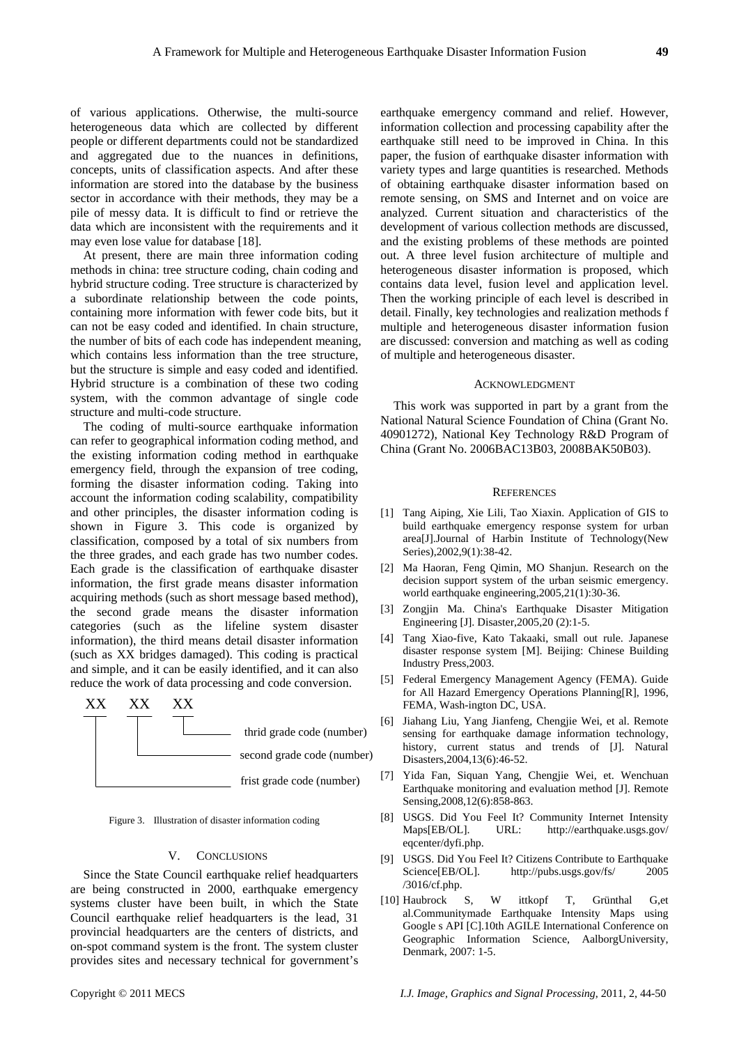of various applications. Otherwise, the multi-source heterogeneous data which are collected by different people or different departments could not be standardized and aggregated due to the nuances in definitions, concepts, units of classification aspects. And after these information are stored into the database by the business sector in accordance with their methods, they may be a pile of messy data. It is difficult to find or retrieve the data which are inconsistent with the requirements and it may even lose value for database [18].

At present, there are main three information coding methods in china: tree structure coding, chain coding and hybrid structure coding. Tree structure is characterized by a subordinate relationship between the code points, containing more information with fewer code bits, but it can not be easy coded and identified. In chain structure, the number of bits of each code has independent meaning, which contains less information than the tree structure, but the structure is simple and easy coded and identified. Hybrid structure is a combination of these two coding system, with the common advantage of single code structure and multi-code structure.

The coding of multi-source earthquake information can refer to geographical information coding method, and the existing information coding method in earthquake emergency field, through the expansion of tree coding, forming the disaster information coding. Taking into account the information coding scalability, compatibility and other principles, the disaster information coding is shown in Figure 3. This code is organized by classification, composed by a total of six numbers from the three grades, and each grade has two number codes. Each grade is the classification of earthquake disaster information, the first grade means disaster information acquiring methods (such as short message based method), the second grade means the disaster information categories (such as the lifeline system disaster information), the third means detail disaster information (such as XX bridges damaged). This coding is practical and simple, and it can be easily identified, and it can also reduce the work of data processing and code conversion.



Figure 3. Illustration of disaster information coding

#### V. CONCLUSIONS

Since the State Council earthquake relief headquarters are being constructed in 2000, earthquake emergency systems cluster have been built, in which the State Council earthquake relief headquarters is the lead, 31 provincial headquarters are the centers of districts, and on-spot command system is the front. The system cluster provides sites and necessary technical for government's

earthquake emergency command and relief. However, information collection and processing capability after the earthquake still need to be improved in China. In this paper, the fusion of earthquake disaster information with variety types and large quantities is researched. Methods of obtaining earthquake disaster information based on remote sensing, on SMS and Internet and on voice are analyzed. Current situation and characteristics of the development of various collection methods are discussed, and the existing problems of these methods are pointed out. A three level fusion architecture of multiple and heterogeneous disaster information is proposed, which contains data level, fusion level and application level. Then the working principle of each level is described in detail. Finally, key technologies and realization methods f multiple and heterogeneous disaster information fusion are discussed: conversion and matching as well as coding of multiple and heterogeneous disaster.

#### ACKNOWLEDGMENT

This work was supported in part by a grant from the National Natural Science Foundation of China (Grant No. 40901272), National Key Technology R&D Program of China (Grant No. 2006BAC13B03, 2008BAK50B03).

#### **REFERENCES**

- [1] Tang Aiping, Xie Lili, Tao Xiaxin. Application of GIS to build earthquake emergency response system for urban area[J].Journal of Harbin Institute of Technology(New Series),2002,9(1):38-42.
- [2] Ma Haoran, Feng Qimin, MO Shanjun. Research on the decision support system of the urban seismic emergency. world earthquake engineering,2005,21(1):30-36.
- [3] Zongjin Ma. China's Earthquake Disaster Mitigation Engineering [J]. Disaster,2005,20 (2):1-5.
- [4] Tang Xiao-five, Kato Takaaki, small out rule. Japanese disaster response system [M]. Beijing: Chinese Building Industry Press,2003.
- [5] Federal Emergency Management Agency (FEMA). Guide for All Hazard Emergency Operations Planning[R], 1996, FEMA, Wash-ington DC, USA.
- [6] Jiahang Liu, Yang Jianfeng, Chengjie Wei, et al. Remote sensing for earthquake damage information technology, history, current status and trends of [J]. Natural Disasters,2004,13(6):46-52.
- [7] Yida Fan, Siquan Yang, Chengjie Wei, et. Wenchuan Earthquake monitoring and evaluation method [J]. Remote Sensing,2008,12(6):858-863.
- [8] USGS. Did You Feel It? Community Internet Intensity Maps[EB/OL]. URL: <http://earthquake.usgs.gov/> eqcenter/dyfi.php.
- [9] USGS. Did You Feel It? Citizens Contribute to Earthquake Science[EB/OL]. <http://pubs.usgs.gov/fs/>2005 /3016/cf.php.
- [10] Haubrock S, W ittkopf T, Grünthal G,et al.Communitymade Earthquake Intensity Maps using Google s API [C].10th AGILE International Conference on Geographic Information Science, AalborgUniversity, Denmark, 2007: 1-5.